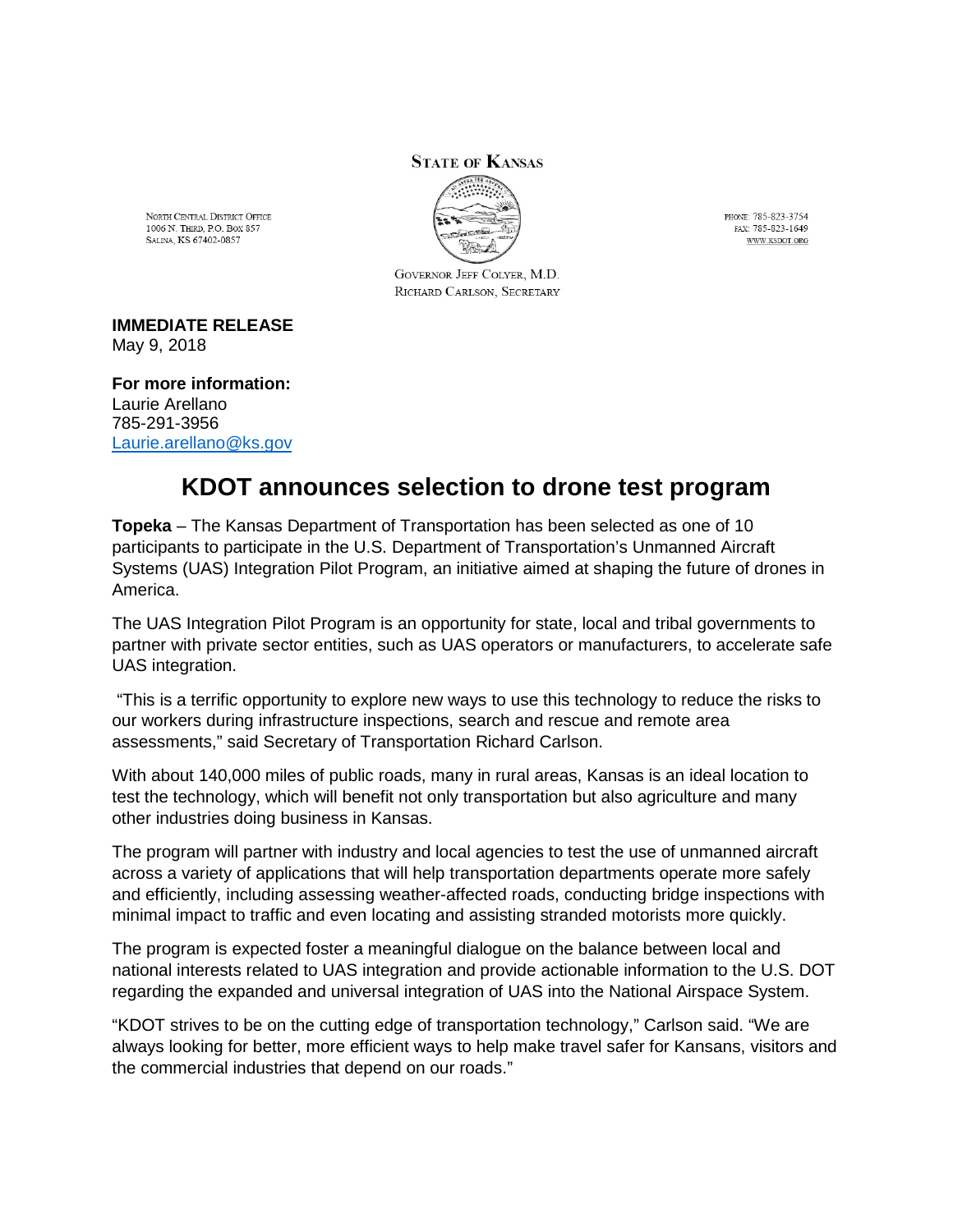## **STATE OF KANSAS**



PHONE: 785-823-3754 FAX: 785-823-1649 WWW.KSDOT.ORG

NORTH CENTRAL DISTRICT OFFICE 1006 N. THIRD, P.O. Box 857 SALINA, KS 67402-0857

> GOVERNOR JEFF COLYER, M.D. RICHARD CARLSON, SECRETARY

**IMMEDIATE RELEASE** May 9, 2018

**For more information:** Laurie Arellano 785-291-3956 [Laurie.arellano@ks.gov](mailto:Laurie.arellano@ks.gov)

## **KDOT announces selection to drone test program**

**Topeka** – The Kansas Department of Transportation has been selected as one of 10 participants to participate in the U.S. Department of Transportation's Unmanned Aircraft Systems (UAS) Integration Pilot Program, an initiative aimed at shaping the future of drones in America.

The UAS Integration Pilot Program is an opportunity for state, local and tribal governments to partner with private sector entities, such as UAS operators or manufacturers, to accelerate safe UAS integration.

"This is a terrific opportunity to explore new ways to use this technology to reduce the risks to our workers during infrastructure inspections, search and rescue and remote area assessments," said Secretary of Transportation Richard Carlson.

With about 140,000 miles of public roads, many in rural areas, Kansas is an ideal location to test the technology, which will benefit not only transportation but also agriculture and many other industries doing business in Kansas.

The program will partner with industry and local agencies to test the use of unmanned aircraft across a variety of applications that will help transportation departments operate more safely and efficiently, including assessing weather-affected roads, conducting bridge inspections with minimal impact to traffic and even locating and assisting stranded motorists more quickly.

The program is expected foster a meaningful dialogue on the balance between local and national interests related to UAS integration and provide actionable information to the U.S. DOT regarding the expanded and universal integration of UAS into the National Airspace System.

"KDOT strives to be on the cutting edge of transportation technology," Carlson said. "We are always looking for better, more efficient ways to help make travel safer for Kansans, visitors and the commercial industries that depend on our roads."